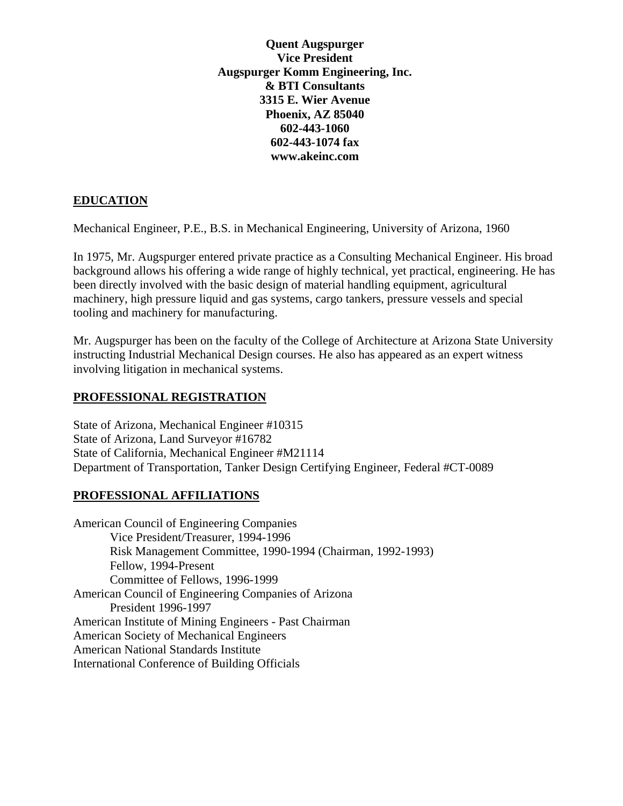**Quent Augspurger Vice President Augspurger Komm Engineering, Inc. & BTI Consultants 3315 E. Wier Avenue Phoenix, AZ 85040 602-443-1060 602-443-1074 fax www.akeinc.com** 

## **EDUCATION**

Mechanical Engineer, P.E., B.S. in Mechanical Engineering, University of Arizona, 1960

In 1975, Mr. Augspurger entered private practice as a Consulting Mechanical Engineer. His broad background allows his offering a wide range of highly technical, yet practical, engineering. He has been directly involved with the basic design of material handling equipment, agricultural machinery, high pressure liquid and gas systems, cargo tankers, pressure vessels and special tooling and machinery for manufacturing.

Mr. Augspurger has been on the faculty of the College of Architecture at Arizona State University instructing Industrial Mechanical Design courses. He also has appeared as an expert witness involving litigation in mechanical systems.

### **PROFESSIONAL REGISTRATION**

State of Arizona, Mechanical Engineer #10315 State of Arizona, Land Surveyor #16782 State of California, Mechanical Engineer #M21114 Department of Transportation, Tanker Design Certifying Engineer, Federal #CT-0089

# **PROFESSIONAL AFFILIATIONS**

American Council of Engineering Companies Vice President/Treasurer, 1994-1996 Risk Management Committee, 1990-1994 (Chairman, 1992-1993) Fellow, 1994-Present Committee of Fellows, 1996-1999 American Council of Engineering Companies of Arizona President 1996-1997 American Institute of Mining Engineers - Past Chairman American Society of Mechanical Engineers American National Standards Institute International Conference of Building Officials